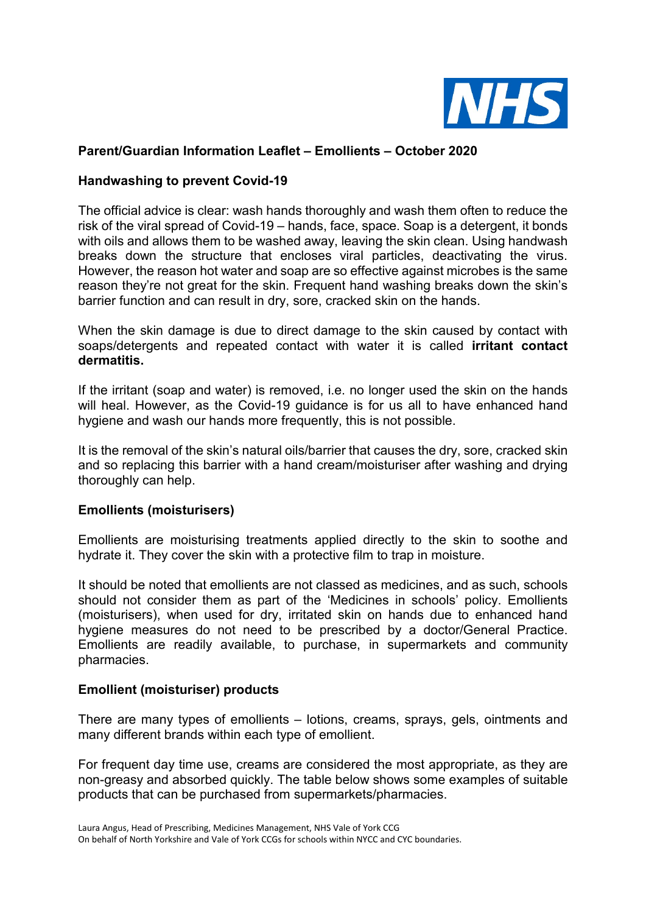

## **Parent/Guardian Information Leaflet – Emollients – October 2020**

#### **Handwashing to prevent Covid-19**

The official advice is clear: wash hands thoroughly and wash them often to reduce the risk of the viral spread of Covid-19 – hands, face, space. Soap is a detergent, it bonds with oils and allows them to be washed away, leaving the skin clean. Using handwash breaks down the structure that encloses viral particles, deactivating the virus. However, the reason hot water and soap are so effective against microbes is the same reason they're not great for the skin. Frequent hand washing breaks down the skin's barrier function and can result in dry, sore, cracked skin on the hands.

When the skin damage is due to direct damage to the skin caused by contact with soaps/detergents and repeated contact with water it is called **irritant contact dermatitis.**

If the irritant (soap and water) is removed, i.e. no longer used the skin on the hands will heal. However, as the Covid-19 guidance is for us all to have enhanced hand hygiene and wash our hands more frequently, this is not possible.

It is the removal of the skin's natural oils/barrier that causes the dry, sore, cracked skin and so replacing this barrier with a hand cream/moisturiser after washing and drying thoroughly can help.

#### **Emollients (moisturisers)**

Emollients are moisturising treatments applied directly to the skin to soothe and hydrate it. They cover the skin with a protective film to trap in moisture.

It should be noted that emollients are not classed as medicines, and as such, schools should not consider them as part of the 'Medicines in schools' policy. Emollients (moisturisers), when used for dry, irritated skin on hands due to enhanced hand hygiene measures do not need to be prescribed by a doctor/General Practice. Emollients are readily available, to purchase, in supermarkets and community pharmacies.

#### **Emollient (moisturiser) products**

There are many types of emollients – lotions, creams, sprays, gels, ointments and many different brands within each type of emollient.

For frequent day time use, creams are considered the most appropriate, as they are non-greasy and absorbed quickly. The table below shows some examples of suitable products that can be purchased from supermarkets/pharmacies.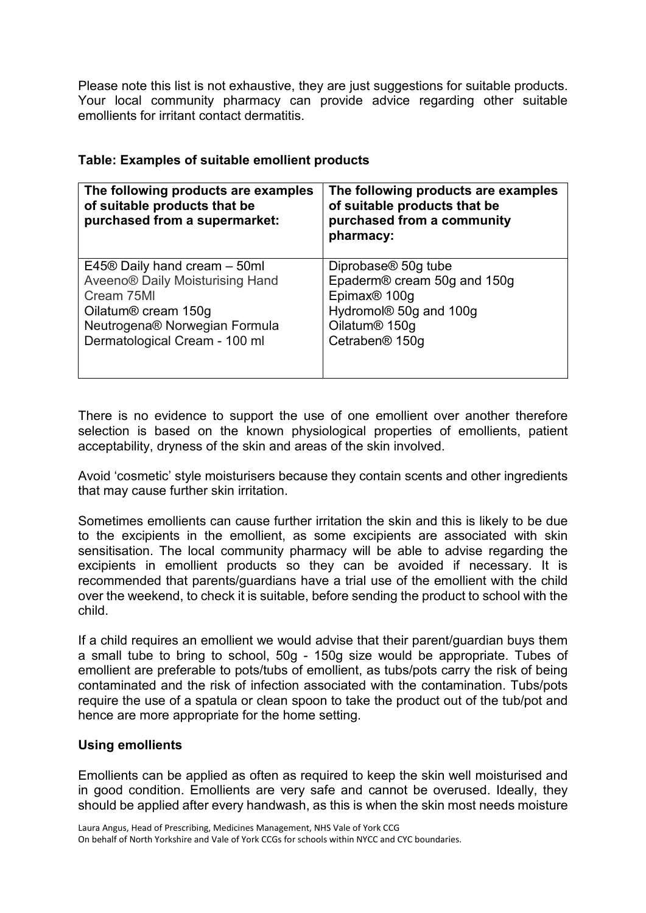Please note this list is not exhaustive, they are just suggestions for suitable products. Your local community pharmacy can provide advice regarding other suitable emollients for irritant contact dermatitis.

| The following products are examples<br>of suitable products that be<br>purchased from a supermarket: | The following products are examples<br>of suitable products that be<br>purchased from a community<br>pharmacy: |
|------------------------------------------------------------------------------------------------------|----------------------------------------------------------------------------------------------------------------|
| $E45\circledR$ Daily hand cream $-50$ ml                                                             | Diprobase <sup>®</sup> 50g tube                                                                                |
| Aveeno® Daily Moisturising Hand                                                                      | Epaderm® cream 50g and 150g                                                                                    |
| Cream 75MI                                                                                           | Epimax <sup>®</sup> 100g                                                                                       |
| Oilatum <sup>®</sup> cream 150g                                                                      | Hydromol <sup>®</sup> 50g and 100g                                                                             |
| Neutrogena® Norwegian Formula                                                                        | Oilatum <sup>®</sup> 150g                                                                                      |
| Dermatological Cream - 100 ml                                                                        | Cetraben <sup>®</sup> 150g                                                                                     |

# **Table: Examples of suitable emollient products**

There is no evidence to support the use of one emollient over another therefore selection is based on the known physiological properties of emollients, patient acceptability, dryness of the skin and areas of the skin involved.

Avoid 'cosmetic' style moisturisers because they contain scents and other ingredients that may cause further skin irritation.

Sometimes emollients can cause further irritation the skin and this is likely to be due to the excipients in the emollient, as some excipients are associated with skin sensitisation. The local community pharmacy will be able to advise regarding the excipients in emollient products so they can be avoided if necessary. It is recommended that parents/guardians have a trial use of the emollient with the child over the weekend, to check it is suitable, before sending the product to school with the child.

If a child requires an emollient we would advise that their parent/guardian buys them a small tube to bring to school, 50g - 150g size would be appropriate. Tubes of emollient are preferable to pots/tubs of emollient, as tubs/pots carry the risk of being contaminated and the risk of infection associated with the contamination. Tubs/pots require the use of a spatula or clean spoon to take the product out of the tub/pot and hence are more appropriate for the home setting.

# **Using emollients**

Emollients can be applied as often as required to keep the skin well moisturised and in good condition. Emollients are very safe and cannot be overused. Ideally, they should be applied after every handwash, as this is when the skin most needs moisture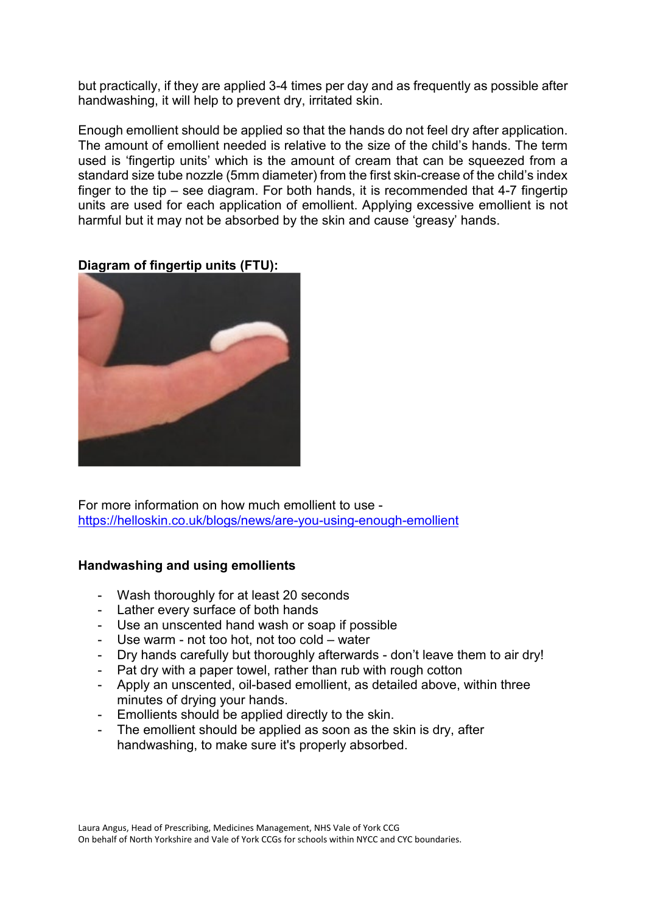but practically, if they are applied 3-4 times per day and as frequently as possible after handwashing, it will help to prevent dry, irritated skin.

Enough emollient should be applied so that the hands do not feel dry after application. The amount of emollient needed is relative to the size of the child's hands. The term used is 'fingertip units' which is the amount of cream that can be squeezed from a standard size tube nozzle (5mm diameter) from the first skin-crease of the child's index finger to the tip – see diagram. For both hands, it is recommended that 4-7 fingertip units are used for each application of emollient. Applying excessive emollient is not harmful but it may not be absorbed by the skin and cause 'greasy' hands.



**Diagram of fingertip units (FTU):**

For more information on how much emollient to use <https://helloskin.co.uk/blogs/news/are-you-using-enough-emollient>

## **Handwashing and using emollients**

- Wash thoroughly for at least 20 seconds
- Lather every surface of both hands
- Use an unscented hand wash or soap if possible
- Use warm not too hot, not too cold water
- Dry hands carefully but thoroughly afterwards don't leave them to air dry!
- Pat dry with a paper towel, rather than rub with rough cotton
- Apply an unscented, oil-based emollient, as detailed above, within three minutes of drying your hands.
- Emollients should be applied directly to the skin.
- The emollient should be applied as soon as the skin is dry, after handwashing, to make sure it's properly absorbed.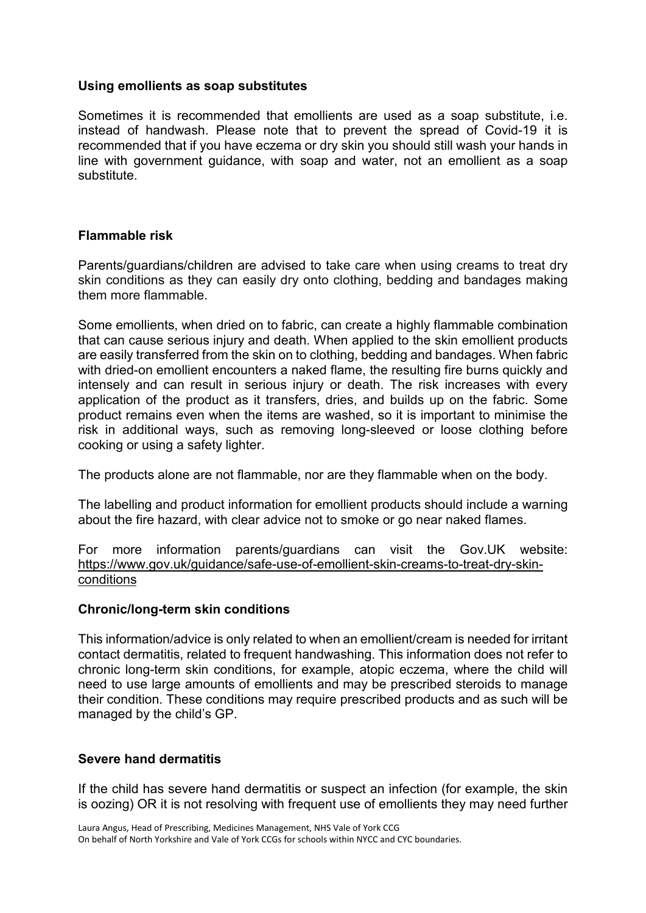## **Using emollients as soap substitutes**

Sometimes it is recommended that emollients are used as a soap substitute, i.e. instead of handwash. Please note that to prevent the spread of Covid-19 it is recommended that if you have eczema or dry skin you should still wash your hands in line with government guidance, with soap and water, not an emollient as a soap substitute.

## **Flammable risk**

Parents/guardians/children are advised to take care when using creams to treat dry skin conditions as they can easily dry onto clothing, bedding and bandages making them more flammable.

Some emollients, when dried on to fabric, can create a highly flammable combination that can cause serious injury and death. When applied to the skin emollient products are easily transferred from the skin on to clothing, bedding and bandages. When fabric with dried-on emollient encounters a naked flame, the resulting fire burns quickly and intensely and can result in serious injury or death. The risk increases with every application of the product as it transfers, dries, and builds up on the fabric. Some product remains even when the items are washed, so it is important to minimise the risk in additional ways, such as removing long-sleeved or loose clothing before cooking or using a safety lighter.

The products alone are not flammable, nor are they flammable when on the body.

The labelling and product information for emollient products should include a warning about the fire hazard, with clear advice not to smoke or go near naked flames.

For more information parents/guardians can visit the Gov.UK website: [https://www.gov.uk/guidance/safe-use-of-emollient-skin-creams-to-treat-dry-skin](https://www.gov.uk/guidance/safe-use-of-emollient-skin-creams-to-treat-dry-skin-conditions)[conditions](https://www.gov.uk/guidance/safe-use-of-emollient-skin-creams-to-treat-dry-skin-conditions)

## **Chronic/long-term skin conditions**

This information/advice is only related to when an emollient/cream is needed for irritant contact dermatitis, related to frequent handwashing. This information does not refer to chronic long-term skin conditions, for example, atopic eczema, where the child will need to use large amounts of emollients and may be prescribed steroids to manage their condition. These conditions may require prescribed products and as such will be managed by the child's GP.

## **Severe hand dermatitis**

If the child has severe hand dermatitis or suspect an infection (for example, the skin is oozing) OR it is not resolving with frequent use of emollients they may need further